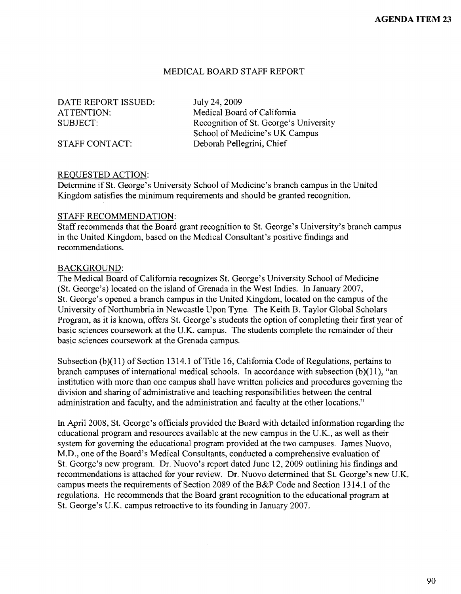#### MEDICAL BOARD STAFF REPORT

DATE REPORT ISSUED: July 24, 2009

ATTENTION: Medical Board of California SUBJECT: Recognition of St. George's University School of Medicine's UK Campus STAFF CONTACT: Deborah Pellegrini, Chief

#### REQUESTED ACTION:

Determine if St. George's University School of Medicine's branch campus in the United Kingdom satisfies the minimum requirements and should be granted recognition.

#### STAFF RECOMMENDATION:

Staff recommends that the Board grant recognition to St. George's University's branch campus in the United Kingdom, based on the Medical Consultant's positive findings and recommendations.

#### BACKGROUND:

The Medical Board of California recognizes St. George's University School of Medicine (St. George's) located on the island of Grenada in the West Indies. In January 2007, St. George's opened a branch campus in the United Kingdom, located on the campus of the University of Northumbria in Newcastle Upon Tyne. The Keith B. Taylor Global Scholars Program, as it is known, offers St. George's students the option of completing their first year of basic sciences coursework at the U.K. campus. The students complete the remainder of their basic sciences coursework at the Grenada campus.

Subsection (b) $(11)$  of Section 1314.1 of Title 16, California Code of Regulations, pertains to branch campuses of international medical schools. In accordance with subsection  $(b)(11)$ , "an institution with more than one campus shall have written policies and procedures governing the division and sharing of administrative and teaching responsibilities between the central administration and faculty, and the administration and faculty at the other locations."

In April 2008, St. George's officials provided the Board with detailed information regarding the educational program and resources available at the new campus in the U.K., as well as their system for governing the educational program provided at the two campuses. James Nuovo, M.D., one of the Board's Medical Consultants, conducted a comprehensive evaluation of St. George's new program. Dr. Nuovo's report dated June 12, 2009 outlining his findings and recommendations is attached for your review. Dr. Nuovo determined that St. George's new U.K. campus meets the requirements of Section 2089 of the B&P Code and Section 1314.l of the regulations. He recommends that the Board grant recognition to the educational program at St. George's U.K. campus retroactive to its founding in January 2007.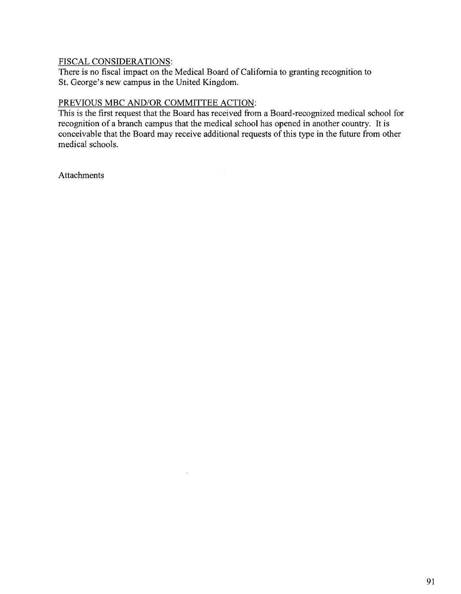## FISCAL CONSIDERATIONS:

There is no fiscal impact on the Medical Board of California to granting recognition to St. George's new campus in the United Kingdom.

## PREVIOUS MBC AND/OR COMMITTEE ACTION:

 $\alpha$ 

This is the first request that the Board has received from a Board-recognized medical school for recognition of a branch campus that the medical school has opened in another country. It is conceivable that the Board may receive additional requests of this type in the future from other medical schools.

**Attachments**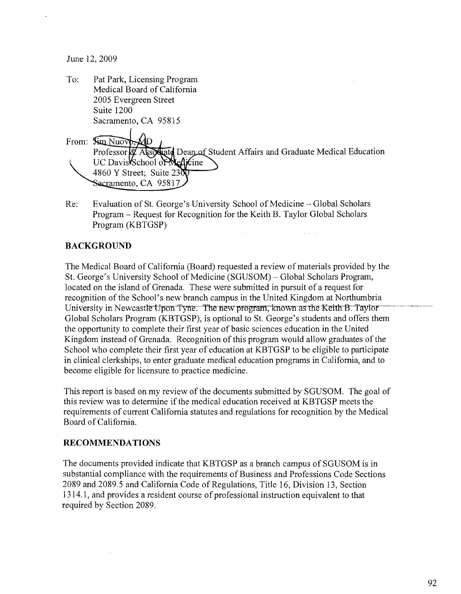June 12, 2009

| To:   | Pat Park, Licensing Program                                                                 |
|-------|---------------------------------------------------------------------------------------------|
|       | Medical Board of California                                                                 |
|       | 2005 Evergreen Street                                                                       |
|       | Suite 1200                                                                                  |
|       | Sacramento, CA 95815                                                                        |
| From: | $\lim$ Nuov<br>Professor & Associate Dean of Student Affairs and Graduate Medical Education |
|       | UC Davis School of Medicine                                                                 |
|       | 4860 Y Street; Suite $23\overline{N}$                                                       |
|       | Sacramento, CA 95817                                                                        |

Re: Evaluation of St. George's University School of Medicine - Global Scholars Program – Request for Recognition for the Keith B. Taylor Global Scholars Program (KBTGSP)  $\label{eq:1} \mathcal{L}_{\mathcal{A}}(\mathcal{L}_{\mathcal{A}}(\mathcal{L}_{\mathcal{A}})) = \mathcal{L}_{\mathcal{A}}(\mathcal{L}_{\mathcal{A}}(\mathcal{L}_{\mathcal{A}}))$ 

 $\sim$  km  $\omega$  ,  $\omega$  ,  $\sim$ 

# **BACKGROUND**

The Medical Board of California (Board) requested a review of materials provided by the St. George's University School of Medicine (SGUSOM)- Global Scholars Program, located on the island of Grenada. These were submitted in pursuit of a request for recognition of the School's new branch campus in the United Kingdom at Northumbria University in Newcastle Upon Tyne. The new program, known as the Keith B. Taylor Global Scholars Program (KBTGSP), is optional to St. George's students and offers them the opportunity to complete their first year of basic sciences education in the United Kingdom instead of Grenada. Recognition of this program would allow graduates of the School who complete their first year of education at KBTGSP to be eligible to participate in clinical clerkships, to enter graduate medical education programs in California, and to become eligible for licensure to practice medicine.

This report is based on my review of the documents submitted by SGUSOM. The goal of this review was to determine if the medical education received at KBTGSP meets the requirements of current California statutes and regulations for recognition by the Medical Board of California.

### **RECOMMENDATIONS**

The documents provided indicate that KBTGSP as a branch campus of SGUSOM is in substantial compliance with the requirements of Business and Professions Code Sections 2089 and 2089.5 and California Code of Regulations, Title 16, Division 13, Section 1314.1, and provides a resident course of professional instruction equivalent to that required by Section 2089.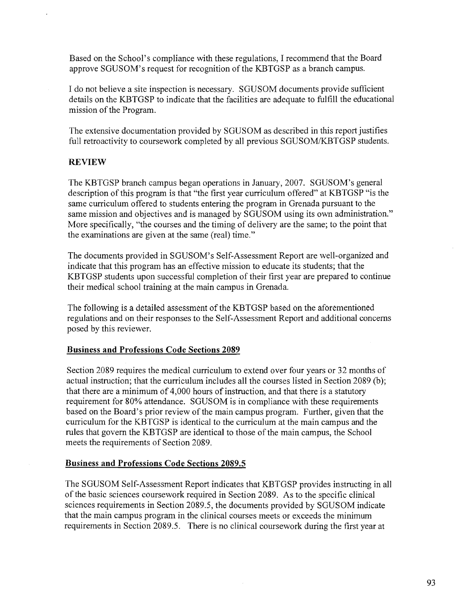Based on the School's compliance with these regulations, I recommend that the Board approve SGUSOM's request for recognition of the KBTGSP as a branch campus.

I do not believe a site inspection is necessary. SGUSOM documents provide sufficient details on the KBTGSP to indicate that the facilities are adequate to fulfill the educational mission of the Program.

The extensive documentation provided by SGUSOM as described in this report justifies full retroactivity to coursework completed by all previous SGUSOM/KBTGSP students.

## **REVIEW**

The KBTGSP branch campus began operations in January, 2007. SGUSOM's general description of this program is that "the first year curriculum offered" at KBTGSP "is the same curriculum offered to students entering the program in Grenada pursuant to the same mission and objectives and is managed by SGUSOM using its own administration." More specifically, "the courses and the timing of delivery are the same; to the point that the examinations are given at the same (real) time."

The documents provided in SGUSOM's Self-Assessment Report are well-organized and indicate that this program has an effective mission to educate its students; that the KBTGSP students upon successful completion of their first year are prepared to continue their medical school training at the main campus in Grenada.

The following is a detailed assessment of the KBTGSP based on the aforementioned regulations and on their responses to the Self-Assessment Report and additional concerns posed by this reviewer.

## **Business and Professions Code Sections 2089**

Section 2089 requires the medical curriculum to extend over four years or 32 months of actual instruction; that the curriculum includes all the courses listed in Section 2089 (b); that there are a minimum of 4,000 hours of instruction, and that there is a statutory requirement for 80% attendance. SGUSOM is in compliance with these requirements based on the Board's prior review of the main campus program. Further, given that the curriculum for the KBTGSP is identical to the curriculum at the main campus and the rules that govern the KBTGSP are identical to those of the main campus, the School meets the requirements of Section 2089.

## **Business and Professions Code Sections 2089.5**

The SGUSOM Self-Assessment Report indicates that KBTGSP provides instructing in all of the basic sciences coursework required in Section 2089. As to the specific clinical sciences requirements in Section 2089.5, the documents provided by SGUSOM indicate that the main campus program in the clinical courses meets or exceeds the minimum requirements in Section 2089.5. There is no clinical coursework during the first year at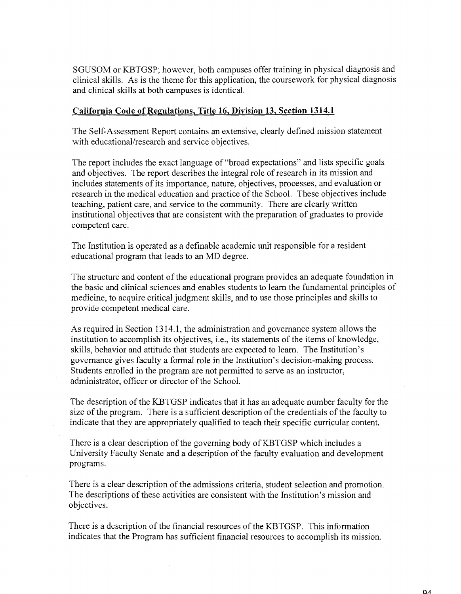SGUSOM or KBTGSP; however, both campuses offer training in physical diagnosis and clinical skills. As is the theme for this application, the coursework for physical diagnosis and clinical skills at both campuses is identical.

## **California Code of Regulations, Title 16, Division 13, Section 1314.1**

The Self-Assessment Report contains an extensive, clearly defined mission statement with educational/research and service objectives.

The report includes the exact language of "broad expectations" and lists specific goals and objectives. The report describes the integral role of research in its mission and includes statements of its importance, nature, objectives, processes, and evaluation or research in the medical education and practice of the School. These objectives include teaching, patient care, and service to the community. There are clearly written institutional objectives that are consistent with the preparation of graduates to provide competent care.

The Institution is operated as a definable academic unit responsible for a resident educational program that leads to an MD degree.

The structure and content of the educational program provides an adequate foundation in the basic and clinical sciences and enables students to learn the fundamental principles of medicine, to acquire critical judgment skills, and to use those principles and skills to provide competent medical care.

As required in Section 1314.1, the administration and governance system allows the institution to accomplish its objectives, i.e., its statements of the items of knowledge, skills, behavior and attitude that students are expected to learn. The Institution's governance gives faculty a formal role in the Institution's decision-making process. Students enrolled in the program are not permitted to serve as an instructor, administrator, officer or director of the School.

The description of the KBTGSP indicates that it has an adequate number faculty for the size of the program. There is a sufficient description of the credentials of the faculty to indicate that they are appropriately qualified to teach their specific curricular content.

There is a clear description of the governing body of KBTGSP which includes a University Faculty Senate and a description of the faculty evaluation and development programs.

There is a clear description of the admissions criteria, student selection and promotion. The descriptions of these activities are consistent with the Institution's mission and objectives.

There is a description of the financial resources of the KBTGSP. This information indicates that the Program has sufficient financial resources to accomplish its mission.